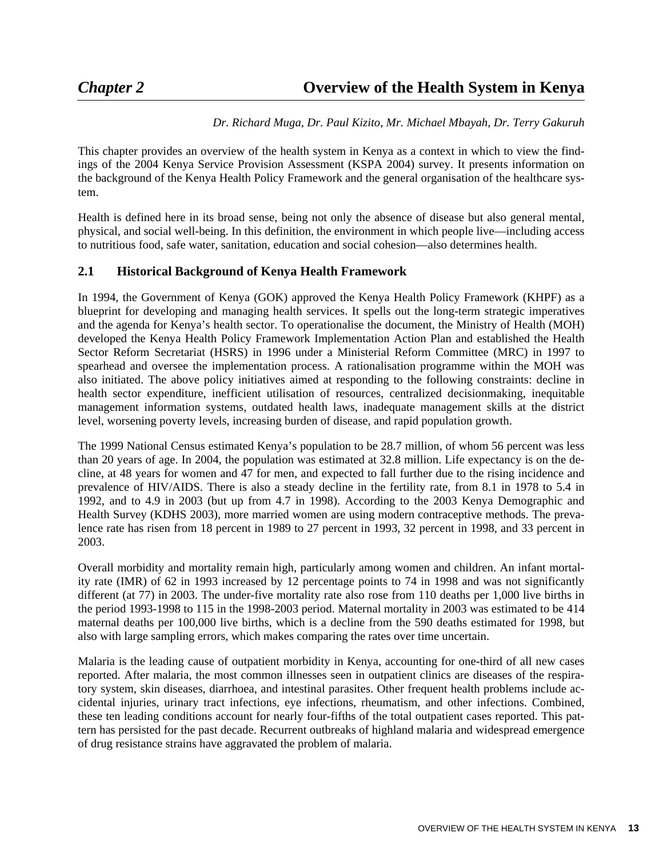### *Dr. Richard Muga, Dr. Paul Kizito, Mr. Michael Mbayah, Dr. Terry Gakuruh*

This chapter provides an overview of the health system in Kenya as a context in which to view the findings of the 2004 Kenya Service Provision Assessment (KSPA 2004) survey. It presents information on the background of the Kenya Health Policy Framework and the general organisation of the healthcare system.

Health is defined here in its broad sense, being not only the absence of disease but also general mental, physical, and social well-being. In this definition, the environment in which people live—including access to nutritious food, safe water, sanitation, education and social cohesion—also determines health.

## **2.1 Historical Background of Kenya Health Framework**

In 1994, the Government of Kenya (GOK) approved the Kenya Health Policy Framework (KHPF) as a blueprint for developing and managing health services. It spells out the long-term strategic imperatives and the agenda for Kenya's health sector. To operationalise the document, the Ministry of Health (MOH) developed the Kenya Health Policy Framework Implementation Action Plan and established the Health Sector Reform Secretariat (HSRS) in 1996 under a Ministerial Reform Committee (MRC) in 1997 to spearhead and oversee the implementation process. A rationalisation programme within the MOH was also initiated. The above policy initiatives aimed at responding to the following constraints: decline in health sector expenditure, inefficient utilisation of resources, centralized decisionmaking, inequitable management information systems, outdated health laws, inadequate management skills at the district level, worsening poverty levels, increasing burden of disease, and rapid population growth.

The 1999 National Census estimated Kenya's population to be 28.7 million, of whom 56 percent was less than 20 years of age. In 2004, the population was estimated at 32.8 million. Life expectancy is on the decline, at 48 years for women and 47 for men, and expected to fall further due to the rising incidence and prevalence of HIV/AIDS. There is also a steady decline in the fertility rate, from 8.1 in 1978 to 5.4 in 1992, and to 4.9 in 2003 (but up from 4.7 in 1998). According to the 2003 Kenya Demographic and Health Survey (KDHS 2003), more married women are using modern contraceptive methods. The prevalence rate has risen from 18 percent in 1989 to 27 percent in 1993, 32 percent in 1998, and 33 percent in 2003.

Overall morbidity and mortality remain high, particularly among women and children. An infant mortality rate (IMR) of 62 in 1993 increased by 12 percentage points to 74 in 1998 and was not significantly different (at 77) in 2003. The under-five mortality rate also rose from 110 deaths per 1,000 live births in the period 1993-1998 to 115 in the 1998-2003 period. Maternal mortality in 2003 was estimated to be 414 maternal deaths per 100,000 live births, which is a decline from the 590 deaths estimated for 1998, but also with large sampling errors, which makes comparing the rates over time uncertain.

Malaria is the leading cause of outpatient morbidity in Kenya, accounting for one-third of all new cases reported. After malaria, the most common illnesses seen in outpatient clinics are diseases of the respiratory system, skin diseases, diarrhoea, and intestinal parasites. Other frequent health problems include accidental injuries, urinary tract infections, eye infections, rheumatism, and other infections. Combined, these ten leading conditions account for nearly four-fifths of the total outpatient cases reported. This pattern has persisted for the past decade. Recurrent outbreaks of highland malaria and widespread emergence of drug resistance strains have aggravated the problem of malaria.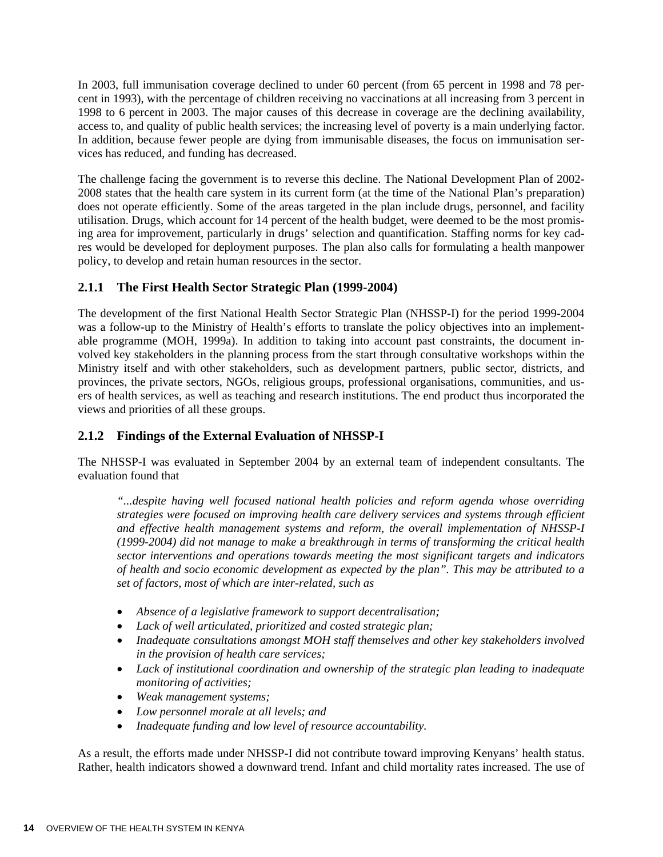In 2003, full immunisation coverage declined to under 60 percent (from 65 percent in 1998 and 78 percent in 1993), with the percentage of children receiving no vaccinations at all increasing from 3 percent in 1998 to 6 percent in 2003. The major causes of this decrease in coverage are the declining availability, access to, and quality of public health services; the increasing level of poverty is a main underlying factor. In addition, because fewer people are dying from immunisable diseases, the focus on immunisation services has reduced, and funding has decreased.

The challenge facing the government is to reverse this decline. The National Development Plan of 2002- 2008 states that the health care system in its current form (at the time of the National Plan's preparation) does not operate efficiently. Some of the areas targeted in the plan include drugs, personnel, and facility utilisation. Drugs, which account for 14 percent of the health budget, were deemed to be the most promising area for improvement, particularly in drugs' selection and quantification. Staffing norms for key cadres would be developed for deployment purposes. The plan also calls for formulating a health manpower policy, to develop and retain human resources in the sector.

## **2.1.1 The First Health Sector Strategic Plan (1999-2004)**

The development of the first National Health Sector Strategic Plan (NHSSP-I) for the period 1999-2004 was a follow-up to the Ministry of Health's efforts to translate the policy objectives into an implementable programme (MOH, 1999a). In addition to taking into account past constraints, the document involved key stakeholders in the planning process from the start through consultative workshops within the Ministry itself and with other stakeholders, such as development partners, public sector, districts, and provinces, the private sectors, NGOs, religious groups, professional organisations, communities, and users of health services, as well as teaching and research institutions. The end product thus incorporated the views and priorities of all these groups.

# **2.1.2 Findings of the External Evaluation of NHSSP-I**

The NHSSP-I was evaluated in September 2004 by an external team of independent consultants. The evaluation found that

*"...despite having well focused national health policies and reform agenda whose overriding strategies were focused on improving health care delivery services and systems through efficient and effective health management systems and reform, the overall implementation of NHSSP-I (1999-2004) did not manage to make a breakthrough in terms of transforming the critical health sector interventions and operations towards meeting the most significant targets and indicators of health and socio economic development as expected by the plan". This may be attributed to a set of factors, most of which are inter-related, such as* 

- *Absence of a legislative framework to support decentralisation;*
- *Lack of well articulated, prioritized and costed strategic plan;*
- *Inadequate consultations amongst MOH staff themselves and other key stakeholders involved in the provision of health care services;*
- *Lack of institutional coordination and ownership of the strategic plan leading to inadequate monitoring of activities;*
- *Weak management systems;*
- *Low personnel morale at all levels; and*
- *Inadequate funding and low level of resource accountability.*

As a result, the efforts made under NHSSP-I did not contribute toward improving Kenyans' health status. Rather, health indicators showed a downward trend. Infant and child mortality rates increased. The use of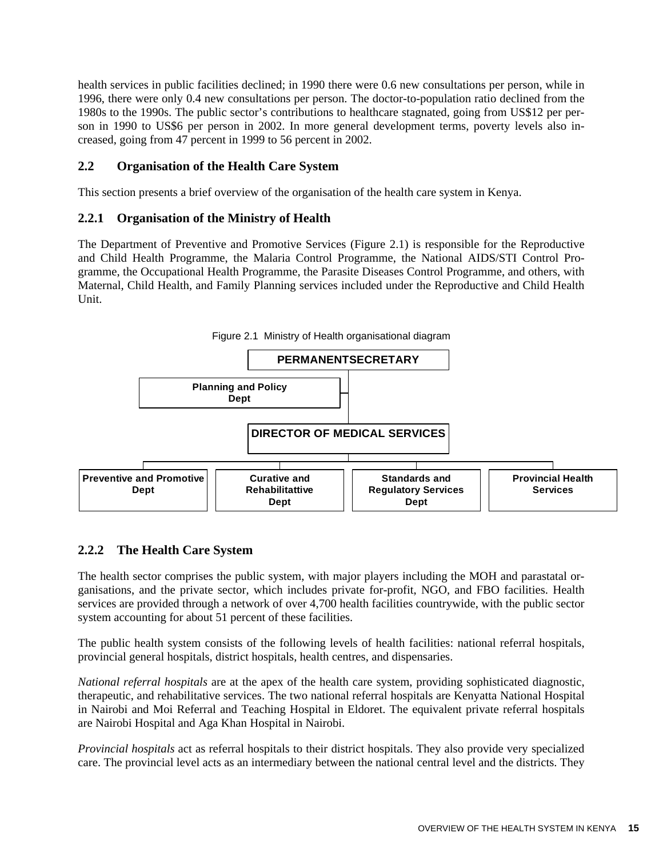health services in public facilities declined; in 1990 there were 0.6 new consultations per person, while in 1996, there were only 0.4 new consultations per person. The doctor-to-population ratio declined from the 1980s to the 1990s. The public sector's contributions to healthcare stagnated, going from US\$12 per person in 1990 to US\$6 per person in 2002. In more general development terms, poverty levels also increased, going from 47 percent in 1999 to 56 percent in 2002.

## **2.2 Organisation of the Health Care System**

This section presents a brief overview of the organisation of the health care system in Kenya.

#### **2.2.1 Organisation of the Ministry of Health**

The Department of Preventive and Promotive Services (Figure 2.1) is responsible for the Reproductive and Child Health Programme, the Malaria Control Programme, the National AIDS/STI Control Programme, the Occupational Health Programme, the Parasite Diseases Control Programme, and others, with Maternal, Child Health, and Family Planning services included under the Reproductive and Child Health Unit.



# **2.2.2 The Health Care System**

The health sector comprises the public system, with major players including the MOH and parastatal organisations, and the private sector, which includes private for-profit, NGO, and FBO facilities. Health services are provided through a network of over 4,700 health facilities countrywide, with the public sector system accounting for about 51 percent of these facilities.

The public health system consists of the following levels of health facilities: national referral hospitals, provincial general hospitals, district hospitals, health centres, and dispensaries.

*National referral hospitals* are at the apex of the health care system, providing sophisticated diagnostic, therapeutic, and rehabilitative services. The two national referral hospitals are Kenyatta National Hospital in Nairobi and Moi Referral and Teaching Hospital in Eldoret. The equivalent private referral hospitals are Nairobi Hospital and Aga Khan Hospital in Nairobi.

*Provincial hospitals* act as referral hospitals to their district hospitals. They also provide very specialized care. The provincial level acts as an intermediary between the national central level and the districts. They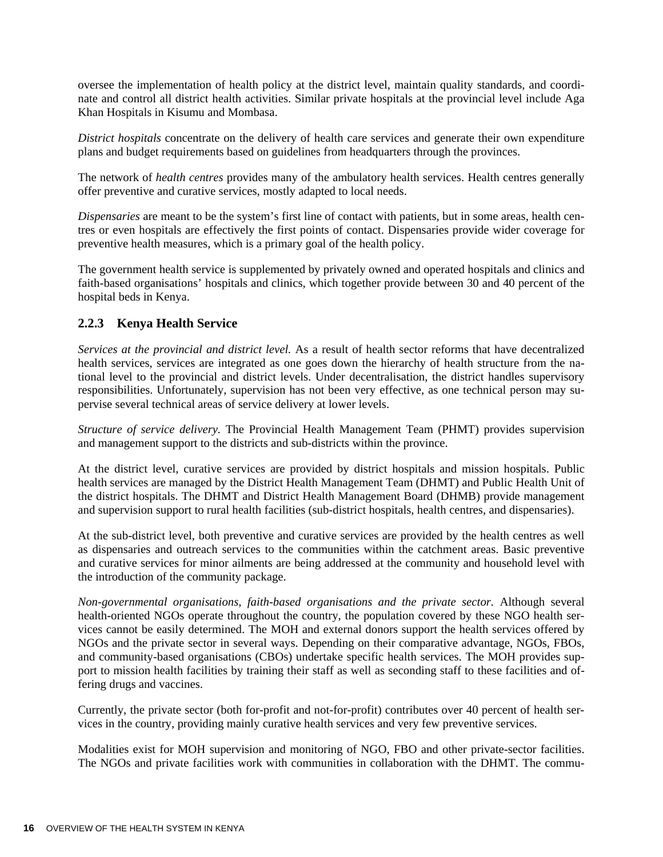oversee the implementation of health policy at the district level, maintain quality standards, and coordinate and control all district health activities. Similar private hospitals at the provincial level include Aga Khan Hospitals in Kisumu and Mombasa.

*District hospitals* concentrate on the delivery of health care services and generate their own expenditure plans and budget requirements based on guidelines from headquarters through the provinces.

The network of *health centres* provides many of the ambulatory health services. Health centres generally offer preventive and curative services, mostly adapted to local needs.

*Dispensaries* are meant to be the system's first line of contact with patients, but in some areas, health centres or even hospitals are effectively the first points of contact. Dispensaries provide wider coverage for preventive health measures, which is a primary goal of the health policy.

The government health service is supplemented by privately owned and operated hospitals and clinics and faith-based organisations' hospitals and clinics, which together provide between 30 and 40 percent of the hospital beds in Kenya.

## **2.2.3 Kenya Health Service**

*Services at the provincial and district level.* As a result of health sector reforms that have decentralized health services, services are integrated as one goes down the hierarchy of health structure from the national level to the provincial and district levels. Under decentralisation, the district handles supervisory responsibilities. Unfortunately, supervision has not been very effective, as one technical person may supervise several technical areas of service delivery at lower levels.

*Structure of service delivery.* The Provincial Health Management Team (PHMT) provides supervision and management support to the districts and sub-districts within the province.

At the district level, curative services are provided by district hospitals and mission hospitals. Public health services are managed by the District Health Management Team (DHMT) and Public Health Unit of the district hospitals. The DHMT and District Health Management Board (DHMB) provide management and supervision support to rural health facilities (sub-district hospitals, health centres, and dispensaries).

At the sub-district level, both preventive and curative services are provided by the health centres as well as dispensaries and outreach services to the communities within the catchment areas. Basic preventive and curative services for minor ailments are being addressed at the community and household level with the introduction of the community package.

*Non-governmental organisations, faith-based organisations and the private sector.* Although several health-oriented NGOs operate throughout the country, the population covered by these NGO health services cannot be easily determined. The MOH and external donors support the health services offered by NGOs and the private sector in several ways. Depending on their comparative advantage, NGOs, FBOs, and community-based organisations (CBOs) undertake specific health services. The MOH provides support to mission health facilities by training their staff as well as seconding staff to these facilities and offering drugs and vaccines.

Currently, the private sector (both for-profit and not-for-profit) contributes over 40 percent of health services in the country, providing mainly curative health services and very few preventive services.

Modalities exist for MOH supervision and monitoring of NGO, FBO and other private-sector facilities. The NGOs and private facilities work with communities in collaboration with the DHMT. The commu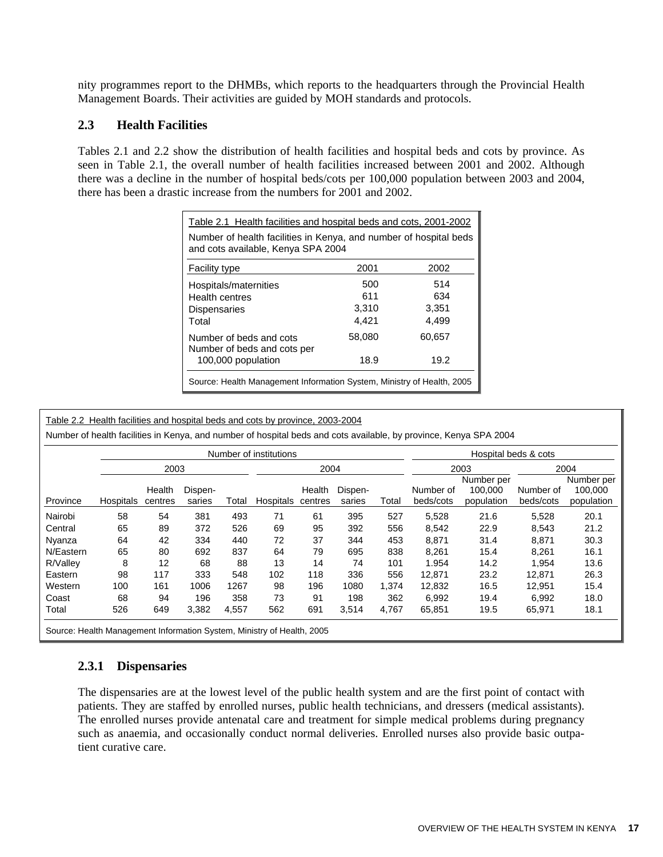nity programmes report to the DHMBs, which reports to the headquarters through the Provincial Health Management Boards. Their activities are guided by MOH standards and protocols.

#### **2.3 Health Facilities**

Tables 2.1 and 2.2 show the distribution of health facilities and hospital beds and cots by province. As seen in Table 2.1, the overall number of health facilities increased between 2001 and 2002. Although there was a decline in the number of hospital beds/cots per 100,000 population between 2003 and 2004, there has been a drastic increase from the numbers for 2001 and 2002.

| Table 2.1 Health facilities and hospital beds and cots, 2001-2002                                       |        |        |  |  |  |  |
|---------------------------------------------------------------------------------------------------------|--------|--------|--|--|--|--|
| Number of health facilities in Kenya, and number of hospital beds<br>and cots available, Kenya SPA 2004 |        |        |  |  |  |  |
| <b>Facility type</b>                                                                                    | 2001   | 2002   |  |  |  |  |
| Hospitals/maternities                                                                                   | 500    | 514    |  |  |  |  |
| Health centres                                                                                          | 611    | 634    |  |  |  |  |
| <b>Dispensaries</b>                                                                                     | 3,310  | 3,351  |  |  |  |  |
| Total                                                                                                   | 4.421  | 4.499  |  |  |  |  |
| Number of beds and cots<br>Number of beds and cots per                                                  | 58,080 | 60,657 |  |  |  |  |
| 100,000 population                                                                                      | 18.9   | 19.2   |  |  |  |  |
| Source: Health Management Information System, Ministry of Health, 2005                                  |        |        |  |  |  |  |

Table 2.2 Health facilities and hospital beds and cots by province, 2003-2004

Number of health facilities in Kenya, and number of hospital beds and cots available, by province, Kenya SPA 2004

|                                                                        | Number of institutions |                   |                   |       |           |                   |                   | Hospital beds & cots |                        |                                     |                        |                                     |
|------------------------------------------------------------------------|------------------------|-------------------|-------------------|-------|-----------|-------------------|-------------------|----------------------|------------------------|-------------------------------------|------------------------|-------------------------------------|
|                                                                        |                        | 2003              |                   | 2004  |           |                   | 2003              |                      | 2004                   |                                     |                        |                                     |
| Province                                                               | Hospitals              | Health<br>centres | Dispen-<br>saries | Total | Hospitals | Health<br>centres | Dispen-<br>saries | Total                | Number of<br>beds/cots | Number per<br>100.000<br>population | Number of<br>beds/cots | Number per<br>100,000<br>population |
| Nairobi                                                                | 58                     | 54                | 381               | 493   | 71        | 61                | 395               | 527                  | 5,528                  | 21.6                                | 5,528                  | 20.1                                |
| Central                                                                | 65                     | 89                | 372               | 526   | 69        | 95                | 392               | 556                  | 8,542                  | 22.9                                | 8,543                  | 21.2                                |
| Nyanza                                                                 | 64                     | 42                | 334               | 440   | 72        | 37                | 344               | 453                  | 8,871                  | 31.4                                | 8,871                  | 30.3                                |
| N/Eastern                                                              | 65                     | 80                | 692               | 837   | 64        | 79                | 695               | 838                  | 8,261                  | 15.4                                | 8,261                  | 16.1                                |
| R/Valley                                                               | 8                      | 12                | 68                | 88    | 13        | 14                | 74                | 101                  | 1.954                  | 14.2                                | 1.954                  | 13.6                                |
| Eastern                                                                | 98                     | 117               | 333               | 548   | 102       | 118               | 336               | 556                  | 12.871                 | 23.2                                | 12.871                 | 26.3                                |
| Western                                                                | 100                    | 161               | 1006              | 1267  | 98        | 196               | 1080              | 1,374                | 12,832                 | 16.5                                | 12,951                 | 15.4                                |
| Coast                                                                  | 68                     | 94                | 196               | 358   | 73        | 91                | 198               | 362                  | 6.992                  | 19.4                                | 6.992                  | 18.0                                |
| Total                                                                  | 526                    | 649               | 3,382             | 4,557 | 562       | 691               | 3,514             | 4,767                | 65,851                 | 19.5                                | 65,971                 | 18.1                                |
| Source: Health Management Information System, Ministry of Health, 2005 |                        |                   |                   |       |           |                   |                   |                      |                        |                                     |                        |                                     |

### **2.3.1 Dispensaries**

The dispensaries are at the lowest level of the public health system and are the first point of contact with patients. They are staffed by enrolled nurses, public health technicians, and dressers (medical assistants). The enrolled nurses provide antenatal care and treatment for simple medical problems during pregnancy such as anaemia, and occasionally conduct normal deliveries. Enrolled nurses also provide basic outpatient curative care.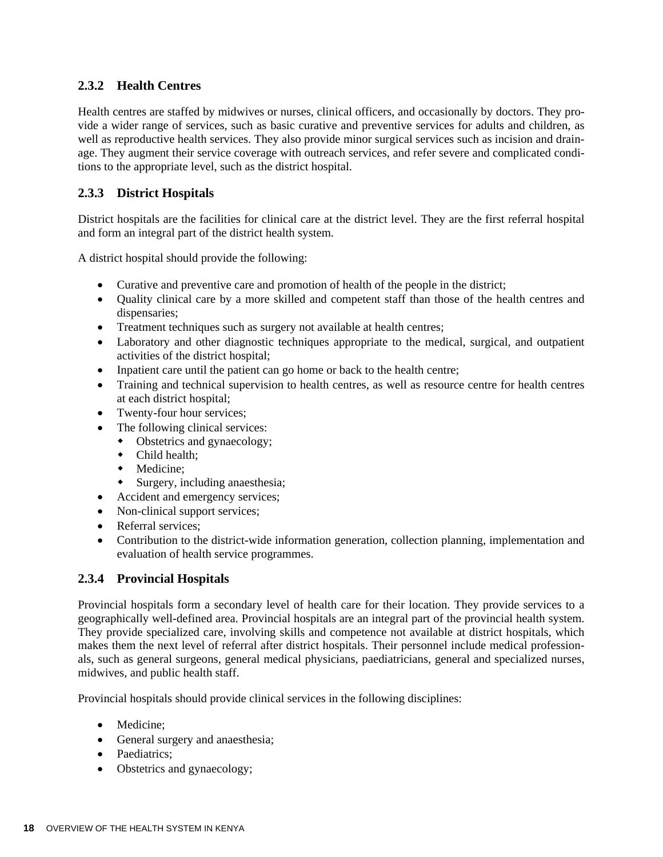## **2.3.2 Health Centres**

Health centres are staffed by midwives or nurses, clinical officers, and occasionally by doctors. They provide a wider range of services, such as basic curative and preventive services for adults and children, as well as reproductive health services. They also provide minor surgical services such as incision and drainage. They augment their service coverage with outreach services, and refer severe and complicated conditions to the appropriate level, such as the district hospital.

## **2.3.3 District Hospitals**

District hospitals are the facilities for clinical care at the district level. They are the first referral hospital and form an integral part of the district health system.

A district hospital should provide the following:

- Curative and preventive care and promotion of health of the people in the district;
- Quality clinical care by a more skilled and competent staff than those of the health centres and dispensaries;
- Treatment techniques such as surgery not available at health centres;
- Laboratory and other diagnostic techniques appropriate to the medical, surgical, and outpatient activities of the district hospital;
- Inpatient care until the patient can go home or back to the health centre;
- Training and technical supervision to health centres, as well as resource centre for health centres at each district hospital;
- Twenty-four hour services;
- The following clinical services:
	- Obstetrics and gynaecology;
		- $\bullet$  Child health;
		- Medicine;
		- Surgery, including anaesthesia;
- Accident and emergency services;
- Non-clinical support services;
- Referral services:
- Contribution to the district-wide information generation, collection planning, implementation and evaluation of health service programmes.

### **2.3.4 Provincial Hospitals**

Provincial hospitals form a secondary level of health care for their location. They provide services to a geographically well-defined area. Provincial hospitals are an integral part of the provincial health system. They provide specialized care, involving skills and competence not available at district hospitals, which makes them the next level of referral after district hospitals. Their personnel include medical professionals, such as general surgeons, general medical physicians, paediatricians, general and specialized nurses, midwives, and public health staff.

Provincial hospitals should provide clinical services in the following disciplines:

- Medicine;
- General surgery and anaesthesia;
- Paediatrics;
- Obstetrics and gynaecology;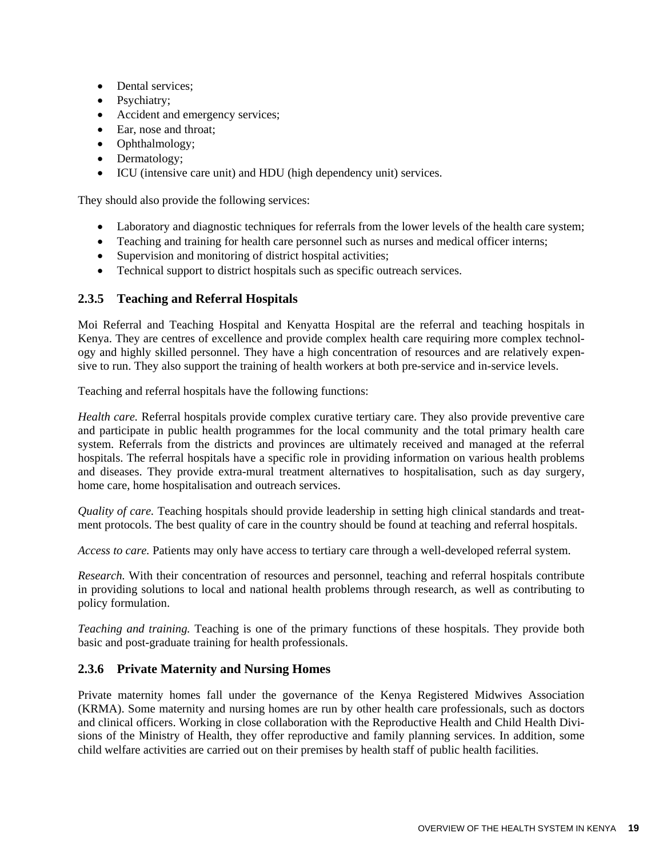- Dental services;
- Psychiatry;
- Accident and emergency services;
- Ear, nose and throat;
- Ophthalmology;
- Dermatology;
- ICU (intensive care unit) and HDU (high dependency unit) services.

They should also provide the following services:

- Laboratory and diagnostic techniques for referrals from the lower levels of the health care system;
- Teaching and training for health care personnel such as nurses and medical officer interns;
- Supervision and monitoring of district hospital activities;
- Technical support to district hospitals such as specific outreach services.

### **2.3.5 Teaching and Referral Hospitals**

Moi Referral and Teaching Hospital and Kenyatta Hospital are the referral and teaching hospitals in Kenya. They are centres of excellence and provide complex health care requiring more complex technology and highly skilled personnel. They have a high concentration of resources and are relatively expensive to run. They also support the training of health workers at both pre-service and in-service levels.

Teaching and referral hospitals have the following functions:

*Health care.* Referral hospitals provide complex curative tertiary care. They also provide preventive care and participate in public health programmes for the local community and the total primary health care system. Referrals from the districts and provinces are ultimately received and managed at the referral hospitals. The referral hospitals have a specific role in providing information on various health problems and diseases. They provide extra-mural treatment alternatives to hospitalisation, such as day surgery, home care, home hospitalisation and outreach services.

*Quality of care.* Teaching hospitals should provide leadership in setting high clinical standards and treatment protocols. The best quality of care in the country should be found at teaching and referral hospitals.

*Access to care.* Patients may only have access to tertiary care through a well-developed referral system.

*Research.* With their concentration of resources and personnel, teaching and referral hospitals contribute in providing solutions to local and national health problems through research, as well as contributing to policy formulation.

*Teaching and training.* Teaching is one of the primary functions of these hospitals. They provide both basic and post-graduate training for health professionals.

### **2.3.6 Private Maternity and Nursing Homes**

Private maternity homes fall under the governance of the Kenya Registered Midwives Association (KRMA). Some maternity and nursing homes are run by other health care professionals, such as doctors and clinical officers. Working in close collaboration with the Reproductive Health and Child Health Divisions of the Ministry of Health, they offer reproductive and family planning services. In addition, some child welfare activities are carried out on their premises by health staff of public health facilities.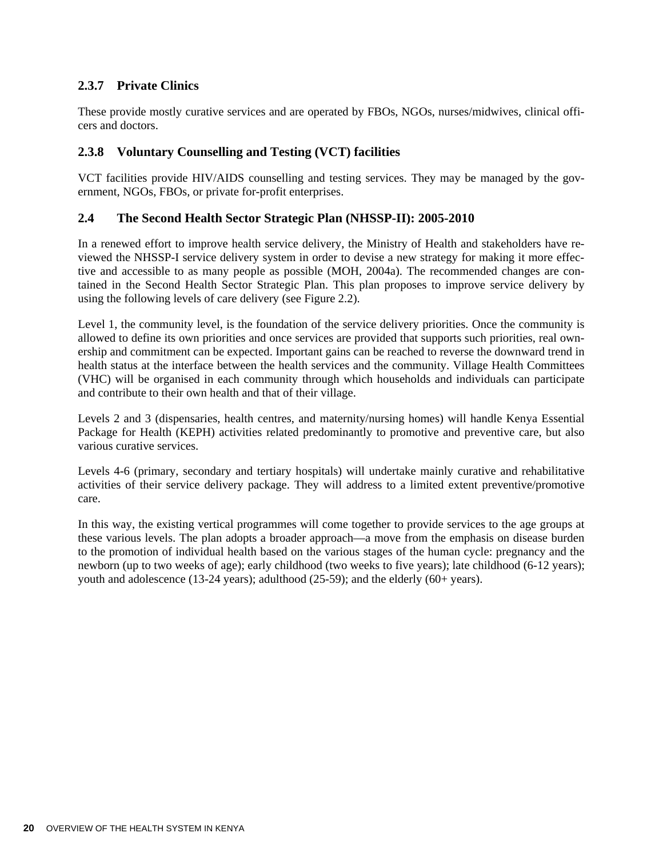## **2.3.7 Private Clinics**

These provide mostly curative services and are operated by FBOs, NGOs, nurses/midwives, clinical officers and doctors.

### **2.3.8 Voluntary Counselling and Testing (VCT) facilities**

VCT facilities provide HIV/AIDS counselling and testing services. They may be managed by the government, NGOs, FBOs, or private for-profit enterprises.

#### **2.4 The Second Health Sector Strategic Plan (NHSSP-II): 2005-2010**

In a renewed effort to improve health service delivery, the Ministry of Health and stakeholders have reviewed the NHSSP-I service delivery system in order to devise a new strategy for making it more effective and accessible to as many people as possible (MOH, 2004a). The recommended changes are contained in the Second Health Sector Strategic Plan. This plan proposes to improve service delivery by using the following levels of care delivery (see Figure 2.2).

Level 1, the community level, is the foundation of the service delivery priorities. Once the community is allowed to define its own priorities and once services are provided that supports such priorities, real ownership and commitment can be expected. Important gains can be reached to reverse the downward trend in health status at the interface between the health services and the community. Village Health Committees (VHC) will be organised in each community through which households and individuals can participate and contribute to their own health and that of their village.

Levels 2 and 3 (dispensaries, health centres, and maternity/nursing homes) will handle Kenya Essential Package for Health (KEPH) activities related predominantly to promotive and preventive care, but also various curative services.

Levels 4-6 (primary, secondary and tertiary hospitals) will undertake mainly curative and rehabilitative activities of their service delivery package. They will address to a limited extent preventive/promotive care.

In this way, the existing vertical programmes will come together to provide services to the age groups at these various levels. The plan adopts a broader approach—a move from the emphasis on disease burden to the promotion of individual health based on the various stages of the human cycle: pregnancy and the newborn (up to two weeks of age); early childhood (two weeks to five years); late childhood (6-12 years); youth and adolescence (13-24 years); adulthood (25-59); and the elderly (60+ years).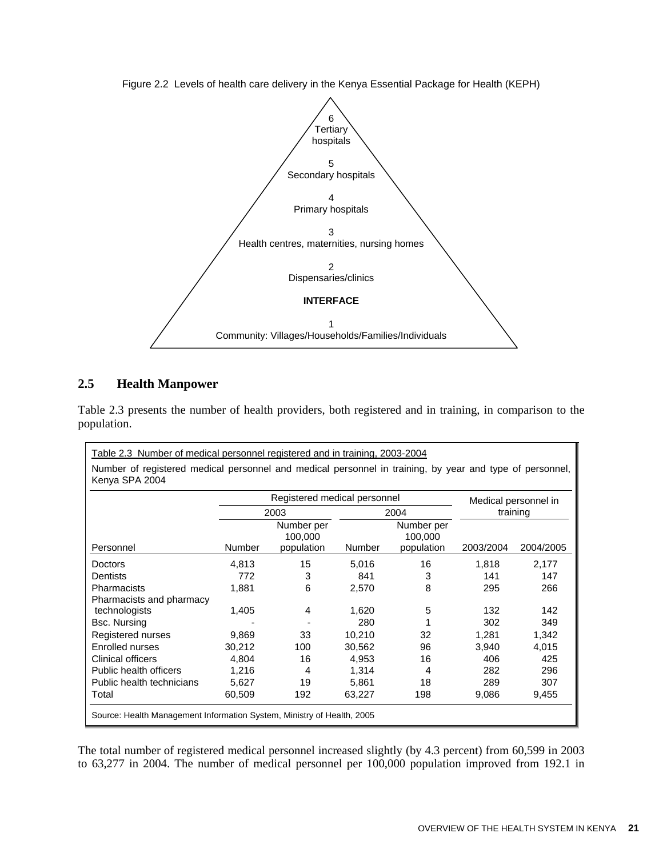

Figure 2.2 Levels of health care delivery in the Kenya Essential Package for Health (KEPH)

### **2.5 Health Manpower**

Table 2.3 presents the number of health providers, both registered and in training, in comparison to the population.

| Number of registered medical personnel and medical personnel in training, by year and type of personnel,<br>Kenya SPA 2004 |               |                                     |               |                                     |           |                      |  |  |
|----------------------------------------------------------------------------------------------------------------------------|---------------|-------------------------------------|---------------|-------------------------------------|-----------|----------------------|--|--|
|                                                                                                                            |               | Registered medical personnel        |               |                                     |           | Medical personnel in |  |  |
|                                                                                                                            |               | 2003                                |               | 2004                                |           | training             |  |  |
| Personnel                                                                                                                  | <b>Number</b> | Number per<br>100,000<br>population | <b>Number</b> | Number per<br>100,000<br>population | 2003/2004 | 2004/2005            |  |  |
| Doctors                                                                                                                    | 4.813         | 15                                  | 5,016         | 16                                  | 1,818     | 2,177                |  |  |
| Dentists                                                                                                                   | 772           | 3                                   | 841           | 3                                   | 141       | 147                  |  |  |
| Pharmacists                                                                                                                | 1,881         | 6                                   | 2,570         | 8                                   | 295       | 266                  |  |  |
| Pharmacists and pharmacy                                                                                                   |               |                                     |               |                                     |           |                      |  |  |
| technologists                                                                                                              | 1,405         | 4                                   | 1,620         | 5                                   | 132       | 142                  |  |  |
| Bsc. Nursing                                                                                                               |               |                                     | 280           |                                     | 302       | 349                  |  |  |
| Registered nurses                                                                                                          | 9,869         | 33                                  | 10,210        | 32                                  | 1,281     | 1,342                |  |  |
| Enrolled nurses                                                                                                            | 30,212        | 100                                 | 30,562        | 96                                  | 3,940     | 4,015                |  |  |
| Clinical officers                                                                                                          | 4,804         | 16                                  | 4.953         | 16                                  | 406       | 425                  |  |  |
| Public health officers                                                                                                     | 1,216         | 4                                   | 1,314         | 4                                   | 282       | 296                  |  |  |
| Public health technicians                                                                                                  | 5,627         | 19                                  | 5,861         | 18                                  | 289       | 307                  |  |  |
| Total                                                                                                                      | 60,509        | 192                                 | 63,227        | 198                                 | 9,086     | 9,455                |  |  |

The total number of registered medical personnel increased slightly (by 4.3 percent) from 60,599 in 2003 to 63,277 in 2004. The number of medical personnel per 100,000 population improved from 192.1 in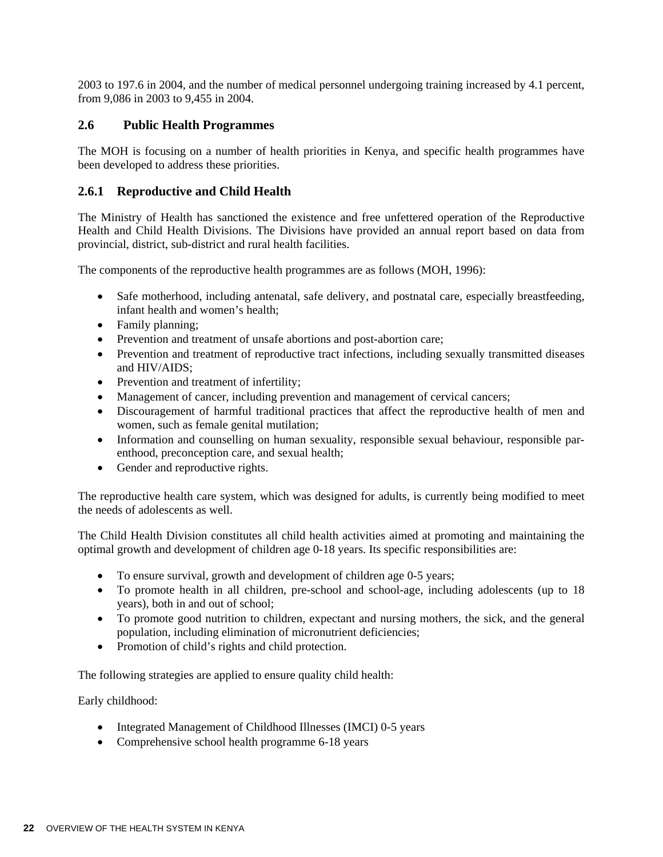2003 to 197.6 in 2004, and the number of medical personnel undergoing training increased by 4.1 percent, from 9,086 in 2003 to 9,455 in 2004.

### **2.6 Public Health Programmes**

The MOH is focusing on a number of health priorities in Kenya, and specific health programmes have been developed to address these priorities.

#### **2.6.1 Reproductive and Child Health**

The Ministry of Health has sanctioned the existence and free unfettered operation of the Reproductive Health and Child Health Divisions. The Divisions have provided an annual report based on data from provincial, district, sub-district and rural health facilities.

The components of the reproductive health programmes are as follows (MOH, 1996):

- Safe motherhood, including antenatal, safe delivery, and postnatal care, especially breastfeeding, infant health and women's health;
- Family planning;
- Prevention and treatment of unsafe abortions and post-abortion care;
- Prevention and treatment of reproductive tract infections, including sexually transmitted diseases and HIV/AIDS;
- Prevention and treatment of infertility;
- Management of cancer, including prevention and management of cervical cancers;
- Discouragement of harmful traditional practices that affect the reproductive health of men and women, such as female genital mutilation;
- Information and counselling on human sexuality, responsible sexual behaviour, responsible parenthood, preconception care, and sexual health;
- Gender and reproductive rights.

The reproductive health care system, which was designed for adults, is currently being modified to meet the needs of adolescents as well.

The Child Health Division constitutes all child health activities aimed at promoting and maintaining the optimal growth and development of children age 0-18 years. Its specific responsibilities are:

- To ensure survival, growth and development of children age 0-5 years;
- To promote health in all children, pre-school and school-age, including adolescents (up to 18 years), both in and out of school;
- To promote good nutrition to children, expectant and nursing mothers, the sick, and the general population, including elimination of micronutrient deficiencies;
- Promotion of child's rights and child protection.

The following strategies are applied to ensure quality child health:

Early childhood:

- Integrated Management of Childhood Illnesses (IMCI) 0-5 years
- Comprehensive school health programme 6-18 years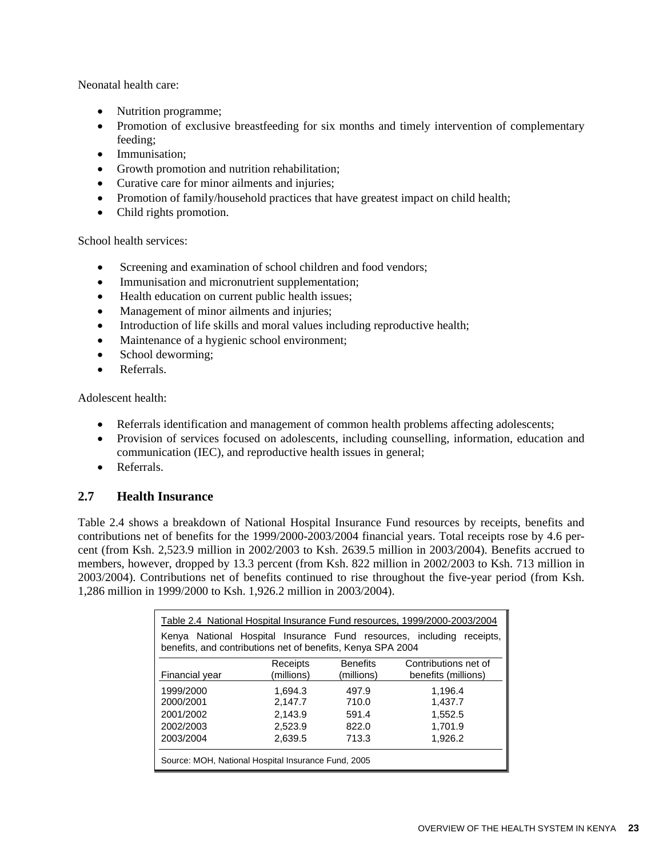Neonatal health care:

- Nutrition programme;
- Promotion of exclusive breastfeeding for six months and timely intervention of complementary feeding;
- Immunisation;
- Growth promotion and nutrition rehabilitation;
- Curative care for minor ailments and injuries;
- Promotion of family/household practices that have greatest impact on child health;
- Child rights promotion.

School health services:

- Screening and examination of school children and food vendors;
- Immunisation and micronutrient supplementation;
- Health education on current public health issues;
- Management of minor ailments and injuries;
- Introduction of life skills and moral values including reproductive health;
- Maintenance of a hygienic school environment;
- School deworming;
- Referrals.

Adolescent health:

- Referrals identification and management of common health problems affecting adolescents;
- Provision of services focused on adolescents, including counselling, information, education and communication (IEC), and reproductive health issues in general;
- Referrals.

### **2.7 Health Insurance**

Table 2.4 shows a breakdown of National Hospital Insurance Fund resources by receipts, benefits and contributions net of benefits for the 1999/2000-2003/2004 financial years. Total receipts rose by 4.6 percent (from Ksh. 2,523.9 million in 2002/2003 to Ksh. 2639.5 million in 2003/2004). Benefits accrued to members, however, dropped by 13.3 percent (from Ksh. 822 million in 2002/2003 to Ksh. 713 million in 2003/2004). Contributions net of benefits continued to rise throughout the five-year period (from Ksh. 1,286 million in 1999/2000 to Ksh. 1,926.2 million in 2003/2004).

| Table 2.4 National Hospital Insurance Fund resources, 1999/2000-2003/2004                                                               |                                                 |                 |                      |  |  |  |  |
|-----------------------------------------------------------------------------------------------------------------------------------------|-------------------------------------------------|-----------------|----------------------|--|--|--|--|
| Kenya National Hospital Insurance Fund resources, including<br>receipts.<br>benefits, and contributions net of benefits, Kenya SPA 2004 |                                                 |                 |                      |  |  |  |  |
|                                                                                                                                         | Receipts                                        | <b>Benefits</b> | Contributions net of |  |  |  |  |
| Financial year                                                                                                                          | (millions)<br>benefits (millions)<br>(millions) |                 |                      |  |  |  |  |
| 1999/2000                                                                                                                               | 1.694.3                                         | 497.9           | 1.196.4              |  |  |  |  |
| 2000/2001                                                                                                                               | 2.147.7                                         | 710.0           | 1,437.7              |  |  |  |  |
| 2001/2002                                                                                                                               | 2.143.9                                         | 591.4           | 1,552.5              |  |  |  |  |
| 2002/2003                                                                                                                               | 2,523.9                                         | 822.0           | 1,701.9              |  |  |  |  |
| 2003/2004                                                                                                                               | 2,639.5                                         | 713.3           | 1,926.2              |  |  |  |  |
| Source: MOH, National Hospital Insurance Fund, 2005                                                                                     |                                                 |                 |                      |  |  |  |  |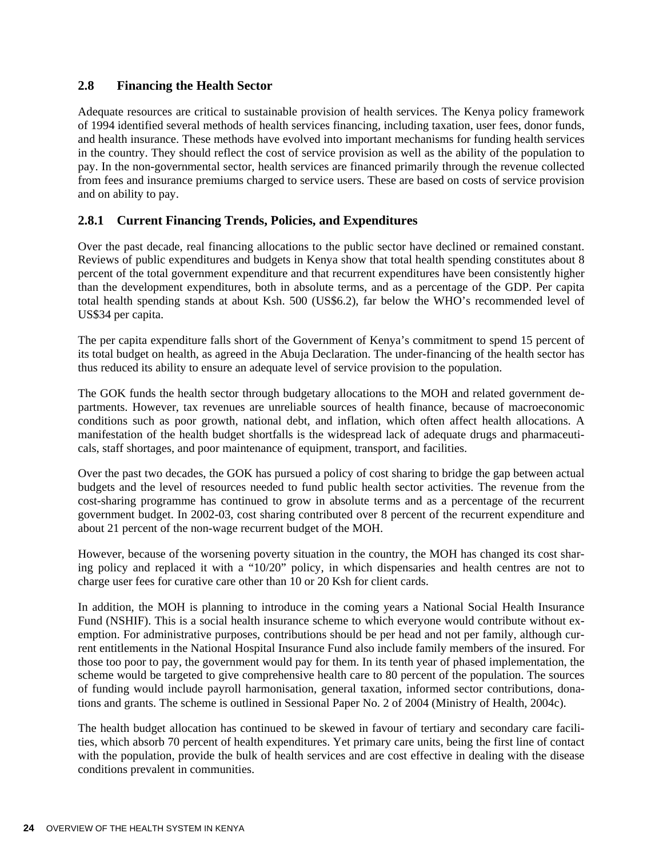### **2.8 Financing the Health Sector**

Adequate resources are critical to sustainable provision of health services. The Kenya policy framework of 1994 identified several methods of health services financing, including taxation, user fees, donor funds, and health insurance. These methods have evolved into important mechanisms for funding health services in the country. They should reflect the cost of service provision as well as the ability of the population to pay. In the non-governmental sector, health services are financed primarily through the revenue collected from fees and insurance premiums charged to service users. These are based on costs of service provision and on ability to pay.

## **2.8.1 Current Financing Trends, Policies, and Expenditures**

Over the past decade, real financing allocations to the public sector have declined or remained constant. Reviews of public expenditures and budgets in Kenya show that total health spending constitutes about 8 percent of the total government expenditure and that recurrent expenditures have been consistently higher than the development expenditures, both in absolute terms, and as a percentage of the GDP. Per capita total health spending stands at about Ksh. 500 (US\$6.2), far below the WHO's recommended level of US\$34 per capita.

The per capita expenditure falls short of the Government of Kenya's commitment to spend 15 percent of its total budget on health, as agreed in the Abuja Declaration. The under-financing of the health sector has thus reduced its ability to ensure an adequate level of service provision to the population.

The GOK funds the health sector through budgetary allocations to the MOH and related government departments. However, tax revenues are unreliable sources of health finance, because of macroeconomic conditions such as poor growth, national debt, and inflation, which often affect health allocations. A manifestation of the health budget shortfalls is the widespread lack of adequate drugs and pharmaceuticals, staff shortages, and poor maintenance of equipment, transport, and facilities.

Over the past two decades, the GOK has pursued a policy of cost sharing to bridge the gap between actual budgets and the level of resources needed to fund public health sector activities. The revenue from the cost-sharing programme has continued to grow in absolute terms and as a percentage of the recurrent government budget. In 2002-03, cost sharing contributed over 8 percent of the recurrent expenditure and about 21 percent of the non-wage recurrent budget of the MOH.

However, because of the worsening poverty situation in the country, the MOH has changed its cost sharing policy and replaced it with a "10/20" policy, in which dispensaries and health centres are not to charge user fees for curative care other than 10 or 20 Ksh for client cards.

In addition, the MOH is planning to introduce in the coming years a National Social Health Insurance Fund (NSHIF). This is a social health insurance scheme to which everyone would contribute without exemption. For administrative purposes, contributions should be per head and not per family, although current entitlements in the National Hospital Insurance Fund also include family members of the insured. For those too poor to pay, the government would pay for them. In its tenth year of phased implementation, the scheme would be targeted to give comprehensive health care to 80 percent of the population. The sources of funding would include payroll harmonisation, general taxation, informed sector contributions, donations and grants. The scheme is outlined in Sessional Paper No. 2 of 2004 (Ministry of Health, 2004c).

The health budget allocation has continued to be skewed in favour of tertiary and secondary care facilities, which absorb 70 percent of health expenditures. Yet primary care units, being the first line of contact with the population, provide the bulk of health services and are cost effective in dealing with the disease conditions prevalent in communities.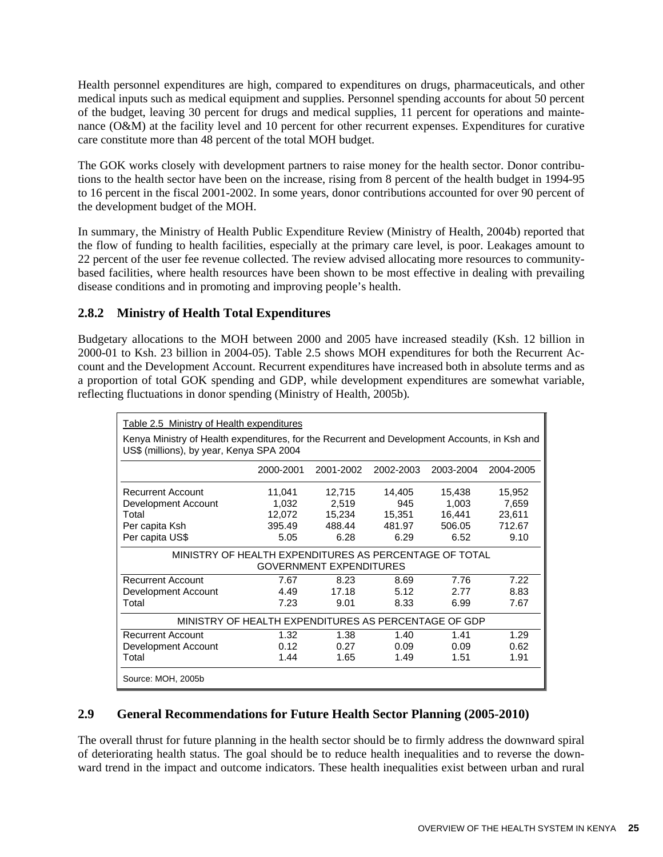Health personnel expenditures are high, compared to expenditures on drugs, pharmaceuticals, and other medical inputs such as medical equipment and supplies. Personnel spending accounts for about 50 percent of the budget, leaving 30 percent for drugs and medical supplies, 11 percent for operations and maintenance (O&M) at the facility level and 10 percent for other recurrent expenses. Expenditures for curative care constitute more than 48 percent of the total MOH budget.

The GOK works closely with development partners to raise money for the health sector. Donor contributions to the health sector have been on the increase, rising from 8 percent of the health budget in 1994-95 to 16 percent in the fiscal 2001-2002. In some years, donor contributions accounted for over 90 percent of the development budget of the MOH.

In summary, the Ministry of Health Public Expenditure Review (Ministry of Health, 2004b) reported that the flow of funding to health facilities, especially at the primary care level, is poor. Leakages amount to 22 percent of the user fee revenue collected. The review advised allocating more resources to communitybased facilities, where health resources have been shown to be most effective in dealing with prevailing disease conditions and in promoting and improving people's health.

# **2.8.2 Ministry of Health Total Expenditures**

Budgetary allocations to the MOH between 2000 and 2005 have increased steadily (Ksh. 12 billion in 2000-01 to Ksh. 23 billion in 2004-05). Table 2.5 shows MOH expenditures for both the Recurrent Account and the Development Account. Recurrent expenditures have increased both in absolute terms and as a proportion of total GOK spending and GDP, while development expenditures are somewhat variable, reflecting fluctuations in donor spending (Ministry of Health, 2005b)*.*

| Table 2.5 Ministry of Health expenditures                                                                                                 |                                             |                                             |                                           |                                             |                                             |  |  |
|-------------------------------------------------------------------------------------------------------------------------------------------|---------------------------------------------|---------------------------------------------|-------------------------------------------|---------------------------------------------|---------------------------------------------|--|--|
| Kenya Ministry of Health expenditures, for the Recurrent and Development Accounts, in Ksh and<br>US\$ (millions), by year, Kenya SPA 2004 |                                             |                                             |                                           |                                             |                                             |  |  |
|                                                                                                                                           | 2000-2001                                   | 2001-2002                                   | 2002-2003                                 | 2003-2004                                   | 2004-2005                                   |  |  |
| <b>Recurrent Account</b><br>Development Account<br>Total<br>Per capita Ksh<br>Per capita US\$                                             | 11,041<br>1,032<br>12,072<br>395.49<br>5.05 | 12,715<br>2,519<br>15,234<br>488.44<br>6.28 | 14,405<br>945<br>15,351<br>481.97<br>6.29 | 15,438<br>1,003<br>16,441<br>506.05<br>6.52 | 15,952<br>7,659<br>23,611<br>712.67<br>9.10 |  |  |
| MINISTRY OF HEALTH EXPENDITURES AS PERCENTAGE OF TOTAL<br><b>GOVERNMENT EXPENDITURES</b>                                                  |                                             |                                             |                                           |                                             |                                             |  |  |
| <b>Recurrent Account</b><br>Development Account<br>Total                                                                                  | 7.67<br>4.49<br>7.23                        | 8.23<br>17.18<br>9.01                       | 8.69<br>5.12<br>8.33                      | 7.76<br>2.77<br>6.99                        | 7.22<br>8.83<br>7.67                        |  |  |
| MINISTRY OF HEALTH EXPENDITURES AS PERCENTAGE OF GDP                                                                                      |                                             |                                             |                                           |                                             |                                             |  |  |
| <b>Recurrent Account</b><br>Development Account<br>Total                                                                                  | 1.32<br>0.12<br>1.44                        | 1.38<br>0.27<br>1.65                        | 1.40<br>0.09<br>1.49                      | 1.41<br>0.09<br>1.51                        | 1.29<br>0.62<br>1.91                        |  |  |
| Source: MOH, 2005b                                                                                                                        |                                             |                                             |                                           |                                             |                                             |  |  |

# **2.9 General Recommendations for Future Health Sector Planning (2005-2010)**

The overall thrust for future planning in the health sector should be to firmly address the downward spiral of deteriorating health status. The goal should be to reduce health inequalities and to reverse the downward trend in the impact and outcome indicators. These health inequalities exist between urban and rural